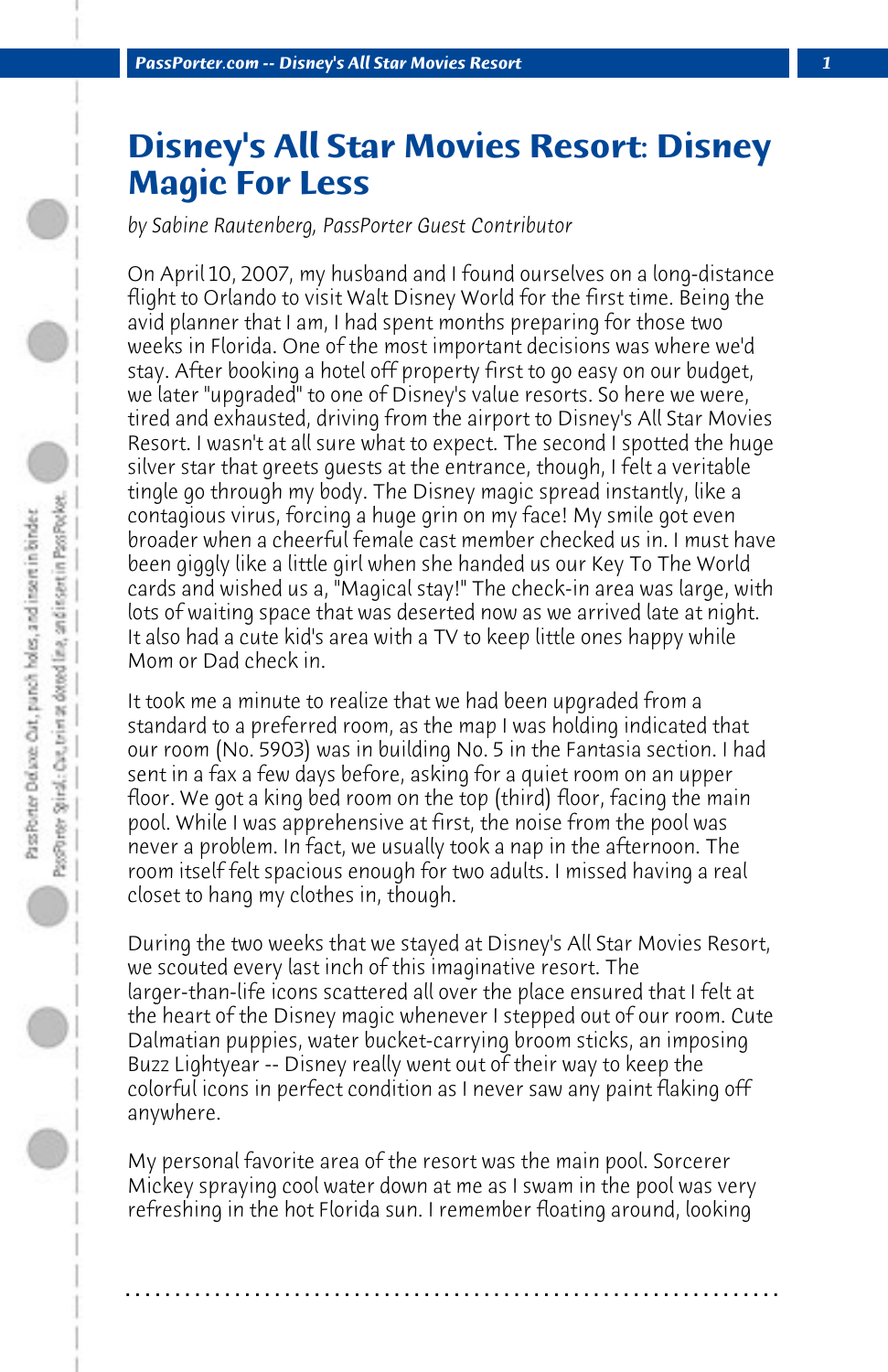## **Disney's All Star Movies Resort: Disney Magic For Less**

*by Sabine Rautenberg, PassPorter Guest Contributor*

On April 10, 2007, my husband and I found ourselves on a long-distance flight to Orlando to visit Walt Disney World for the first time. Being the avid planner that I am, I had spent months preparing for those two weeks in Florida. One of the most important decisions was where we'd stay. After booking a hotel off property first to go easy on our budget, we later "upgraded" to one of Disney's value resorts. So here we were, tired and exhausted, driving from the airport to Disney's All Star Movies Resort. I wasn't at all sure what to expect. The second I spotted the huge silver star that greets guests at the entrance, though, I felt a veritable tingle go through my body. The Disney magic spread instantly, like a contagious virus, forcing a huge grin on my face! My smile got even broader when a cheerful female cast member checked us in. I must have been giggly like a little girl when she handed us our Key To The World cards and wished us a, "Magical stay!" The check-in area was large, with lots of waiting space that was deserted now as we arrived late at night. It also had a cute kid's area with a TV to keep little ones happy while Mom or Dad check in.

It took me a minute to realize that we had been upgraded from a standard to a preferred room, as the map I was holding indicated that our room (No. 5903) was in building No. 5 in the Fantasia section. I had sent in a fax a few days before, asking for a quiet room on an upper floor. We got a king bed room on the top (third) floor, facing the main pool. While I was apprehensive at first, the noise from the pool was never a problem. In fact, we usually took a nap in the afternoon. The room itself felt spacious enough for two adults. I missed having a real closet to hang my clothes in, though.

During the two weeks that we stayed at Disney's All Star Movies Resort, we scouted every last inch of this imaginative resort. The larger-than-life icons scattered all over the place ensured that I felt at the heart of the Disney magic whenever I stepped out of our room. Cute Dalmatian puppies, water bucket-carrying broom sticks, an imposing Buzz Lightyear -- Disney really went out of their way to keep the colorful icons in perfect condition as I never saw any paint flaking off anywhere.

My personal favorite area of the resort was the main pool. Sorcerer Mickey spraying cool water down at me as I swam in the pool was very refreshing in the hot Florida sun. I remember floating around, looking

**. . . . . . . . . . . . . . . . . . . . . . . . . . . . . . . . . . . . . . . . . . . . . . . . . . . . . . . . . . . . . . . . . .**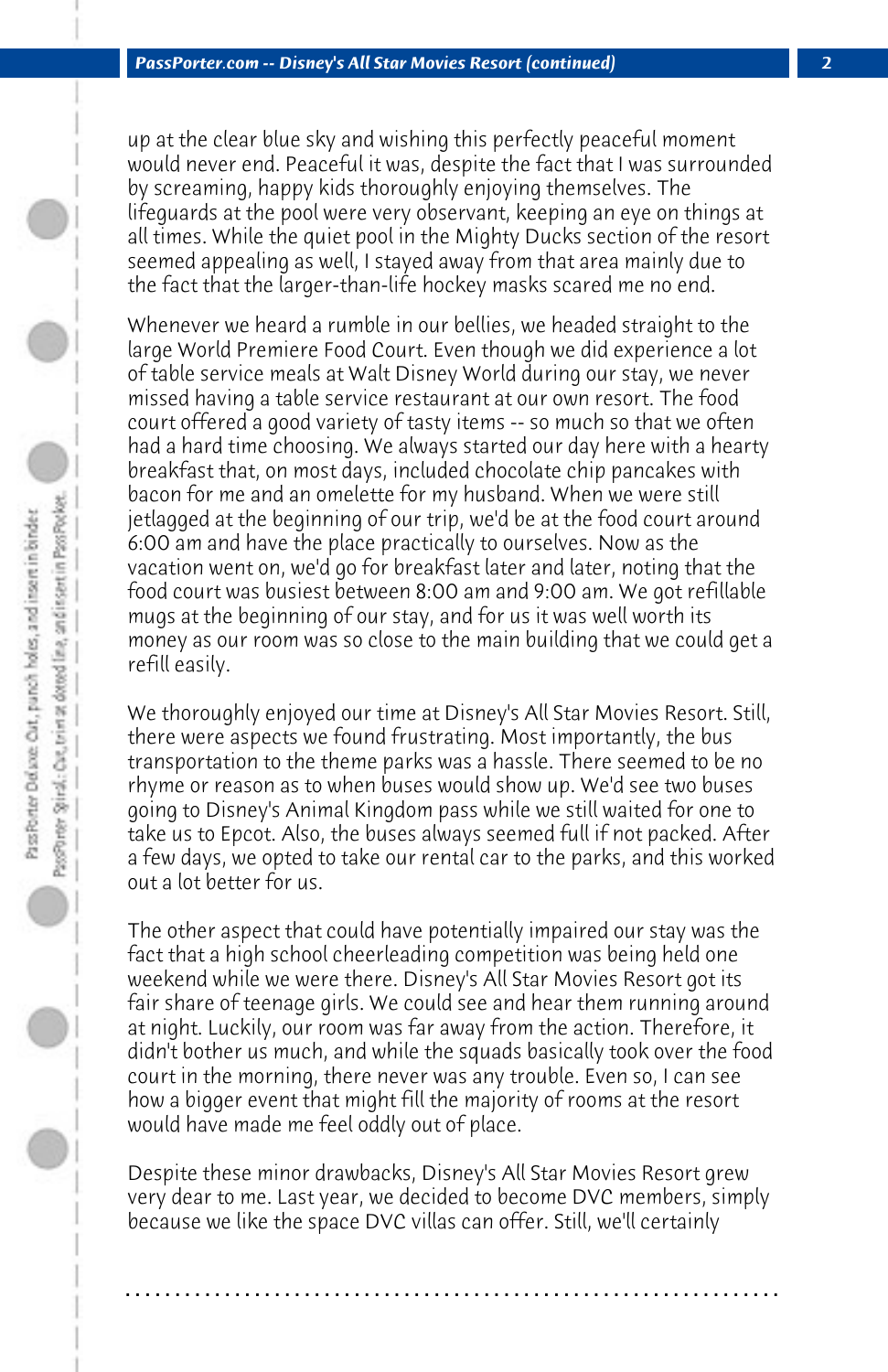up at the clear blue sky and wishing this perfectly peaceful moment would never end. Peaceful it was, despite the fact that I was surrounded by screaming, happy kids thoroughly enjoying themselves. The lifeguards at the pool were very observant, keeping an eye on things at all times. While the quiet pool in the Mighty Ducks section of the resort seemed appealing as well, I stayed away from that area mainly due to the fact that the larger-than-life hockey masks scared me no end.

Whenever we heard a rumble in our bellies, we headed straight to the large World Premiere Food Court. Even though we did experience a lot of table service meals at Walt Disney World during our stay, we never missed having a table service restaurant at our own resort. The food court offered a good variety of tasty items -- so much so that we often had a hard time choosing. We always started our day here with a hearty breakfast that, on most days, included chocolate chip pancakes with bacon for me and an omelette for my husband. When we were still jetlagged at the beginning of our trip, we'd be at the food court around 6:00 am and have the place practically to ourselves. Now as the vacation went on, we'd go for breakfast later and later, noting that the food court was busiest between 8:00 am and 9:00 am. We got refillable mugs at the beginning of our stay, and for us it was well worth its money as our room was so close to the main building that we could get a refill easily.

We thoroughly enjoyed our time at Disney's All Star Movies Resort. Still, there were aspects we found frustrating. Most importantly, the bus transportation to the theme parks was a hassle. There seemed to be no rhyme or reason as to when buses would show up. We'd see two buses going to Disney's Animal Kingdom pass while we still waited for one to take us to Epcot. Also, the buses always seemed full if not packed. After a few days, we opted to take our rental car to the parks, and this worked out a lot better for us.

The other aspect that could have potentially impaired our stay was the fact that a high school cheerleading competition was being held one weekend while we were there. Disney's All Star Movies Resort got its fair share of teenage girls. We could see and hear them running around at night. Luckily, our room was far away from the action. Therefore, it didn't bother us much, and while the squads basically took over the food court in the morning, there never was any trouble. Even so, I can see how a bigger event that might fill the majority of rooms at the resort would have made me feel oddly out of place.

Despite these minor drawbacks, Disney's All Star Movies Resort grew very dear to me. Last year, we decided to become DVC members, simply because we like the space DVC villas can offer. Still, we'll certainly

**. . . . . . . . . . . . . . . . . . . . . . . . . . . . . . . . . . . . . . . . . . . . . . . . . . . . . . . . . . . . . . . . . .**